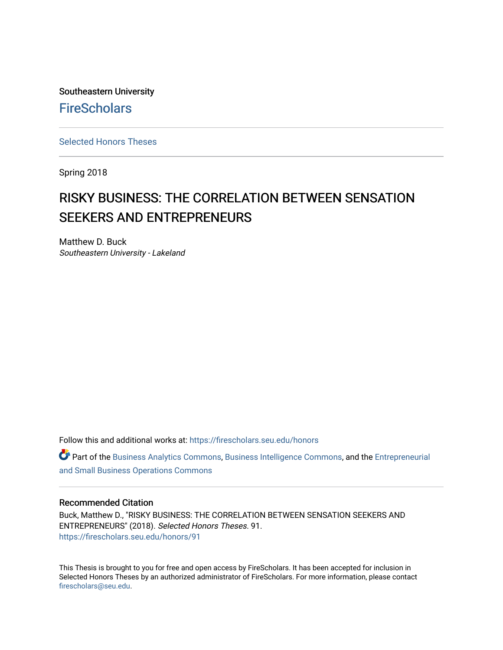Southeastern University **FireScholars** 

[Selected Honors Theses](https://firescholars.seu.edu/honors)

Spring 2018

# RISKY BUSINESS: THE CORRELATION BETWEEN SENSATION SEEKERS AND ENTREPRENEURS

Matthew D. Buck Southeastern University - Lakeland

Follow this and additional works at: [https://firescholars.seu.edu/honors](https://firescholars.seu.edu/honors?utm_source=firescholars.seu.edu%2Fhonors%2F91&utm_medium=PDF&utm_campaign=PDFCoverPages)

Part of the [Business Analytics Commons](http://network.bepress.com/hgg/discipline/1398?utm_source=firescholars.seu.edu%2Fhonors%2F91&utm_medium=PDF&utm_campaign=PDFCoverPages), [Business Intelligence Commons](http://network.bepress.com/hgg/discipline/1326?utm_source=firescholars.seu.edu%2Fhonors%2F91&utm_medium=PDF&utm_campaign=PDFCoverPages), and the [Entrepreneurial](http://network.bepress.com/hgg/discipline/630?utm_source=firescholars.seu.edu%2Fhonors%2F91&utm_medium=PDF&utm_campaign=PDFCoverPages)  [and Small Business Operations Commons](http://network.bepress.com/hgg/discipline/630?utm_source=firescholars.seu.edu%2Fhonors%2F91&utm_medium=PDF&utm_campaign=PDFCoverPages) 

#### Recommended Citation

Buck, Matthew D., "RISKY BUSINESS: THE CORRELATION BETWEEN SENSATION SEEKERS AND ENTREPRENEURS" (2018). Selected Honors Theses. 91. [https://firescholars.seu.edu/honors/91](https://firescholars.seu.edu/honors/91?utm_source=firescholars.seu.edu%2Fhonors%2F91&utm_medium=PDF&utm_campaign=PDFCoverPages) 

This Thesis is brought to you for free and open access by FireScholars. It has been accepted for inclusion in Selected Honors Theses by an authorized administrator of FireScholars. For more information, please contact [firescholars@seu.edu.](mailto:firescholars@seu.edu)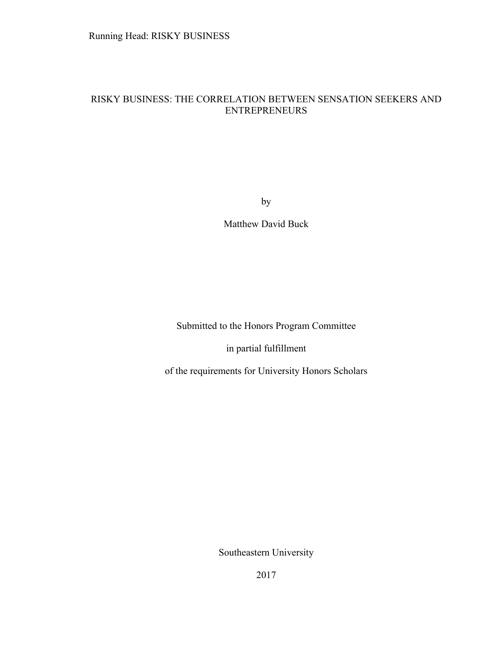# RISKY BUSINESS: THE CORRELATION BETWEEN SENSATION SEEKERS AND ENTREPRENEURS

by

Matthew David Buck

Submitted to the Honors Program Committee

in partial fulfillment

of the requirements for University Honors Scholars

Southeastern University

2017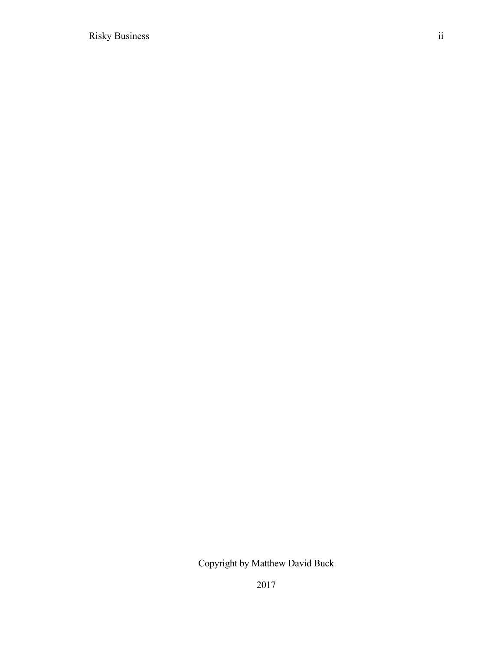Copyright by Matthew David Buck

2017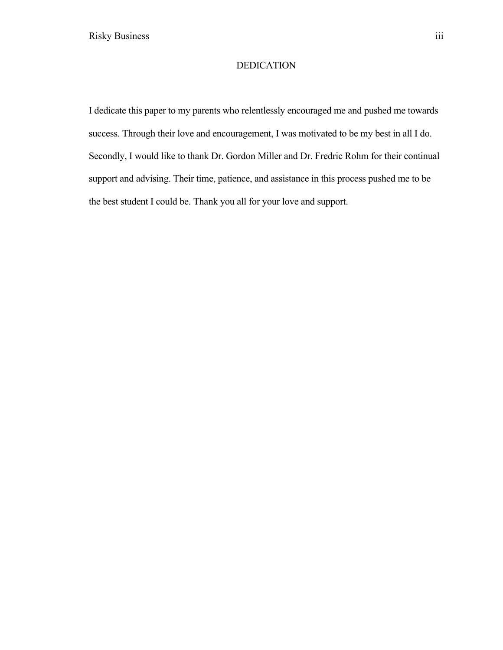## DEDICATION

I dedicate this paper to my parents who relentlessly encouraged me and pushed me towards success. Through their love and encouragement, I was motivated to be my best in all I do. Secondly, I would like to thank Dr. Gordon Miller and Dr. Fredric Rohm for their continual support and advising. Their time, patience, and assistance in this process pushed me to be the best student I could be. Thank you all for your love and support.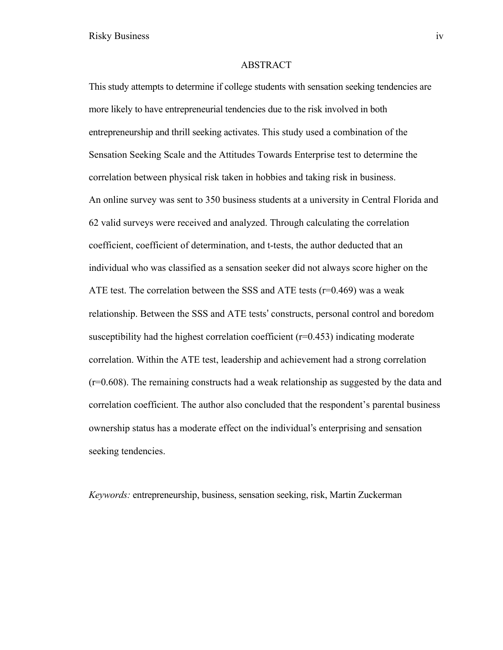#### ABSTRACT

This study attempts to determine if college students with sensation seeking tendencies are more likely to have entrepreneurial tendencies due to the risk involved in both entrepreneurship and thrill seeking activates. This study used a combination of the Sensation Seeking Scale and the Attitudes Towards Enterprise test to determine the correlation between physical risk taken in hobbies and taking risk in business. An online survey was sent to 350 business students at a university in Central Florida and 62 valid surveys were received and analyzed. Through calculating the correlation coefficient, coefficient of determination, and t-tests, the author deducted that an individual who was classified as a sensation seeker did not always score higher on the ATE test. The correlation between the SSS and ATE tests ( $r=0.469$ ) was a weak relationship. Between the SSS and ATE tests' constructs, personal control and boredom susceptibility had the highest correlation coefficient  $(r=0.453)$  indicating moderate correlation. Within the ATE test, leadership and achievement had a strong correlation (r=0.608). The remaining constructs had a weak relationship as suggested by the data and correlation coefficient. The author also concluded that the respondent's parental business ownership status has a moderate effect on the individual's enterprising and sensation seeking tendencies.

*Keywords:* entrepreneurship, business, sensation seeking, risk, Martin Zuckerman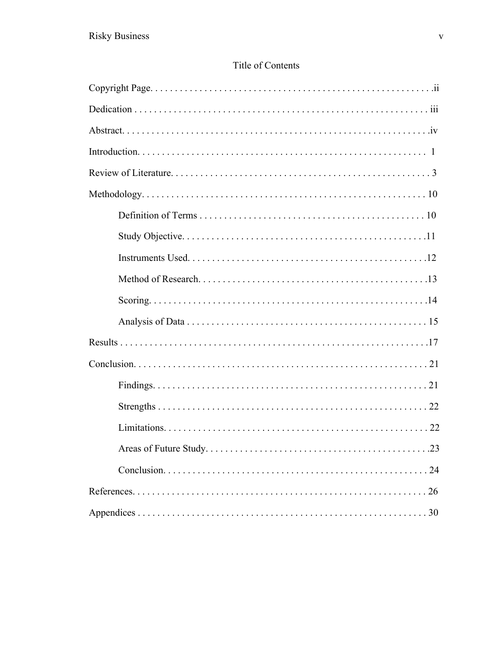# Title of Contents

| 24 |
|----|
|    |
|    |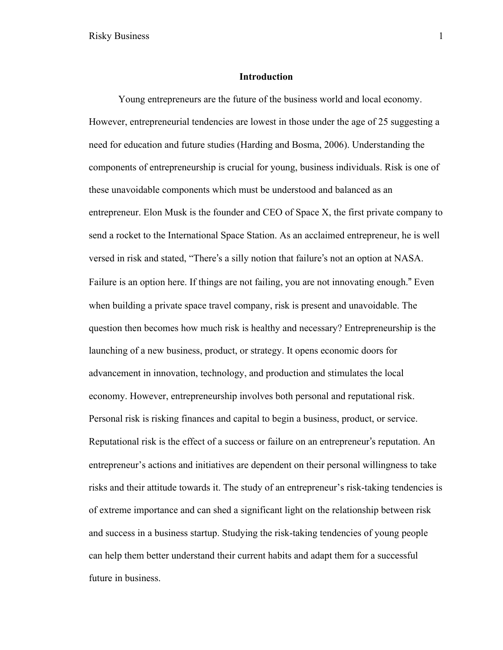#### **Introduction**

Young entrepreneurs are the future of the business world and local economy. However, entrepreneurial tendencies are lowest in those under the age of 25 suggesting a need for education and future studies (Harding and Bosma, 2006). Understanding the components of entrepreneurship is crucial for young, business individuals. Risk is one of these unavoidable components which must be understood and balanced as an entrepreneur. Elon Musk is the founder and CEO of Space X, the first private company to send a rocket to the International Space Station. As an acclaimed entrepreneur, he is well versed in risk and stated, "There's a silly notion that failure's not an option at NASA. Failure is an option here. If things are not failing, you are not innovating enough." Even when building a private space travel company, risk is present and unavoidable. The question then becomes how much risk is healthy and necessary? Entrepreneurship is the launching of a new business, product, or strategy. It opens economic doors for advancement in innovation, technology, and production and stimulates the local economy. However, entrepreneurship involves both personal and reputational risk. Personal risk is risking finances and capital to begin a business, product, or service. Reputational risk is the effect of a success or failure on an entrepreneur's reputation. An entrepreneur's actions and initiatives are dependent on their personal willingness to take risks and their attitude towards it. The study of an entrepreneur's risk-taking tendencies is of extreme importance and can shed a significant light on the relationship between risk and success in a business startup. Studying the risk-taking tendencies of young people can help them better understand their current habits and adapt them for a successful future in business.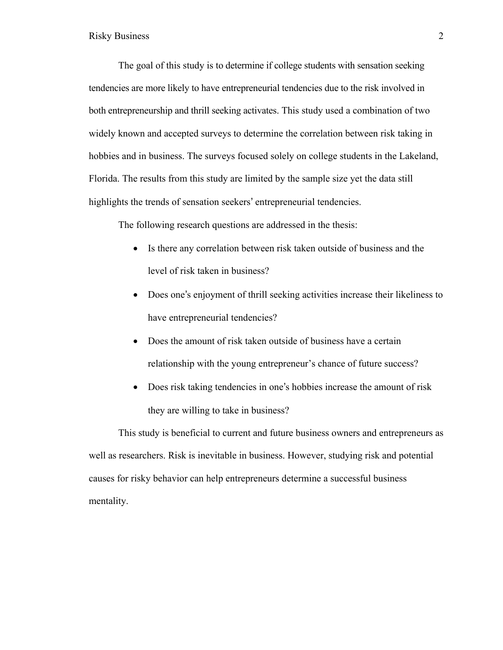The goal of this study is to determine if college students with sensation seeking tendencies are more likely to have entrepreneurial tendencies due to the risk involved in both entrepreneurship and thrill seeking activates. This study used a combination of two widely known and accepted surveys to determine the correlation between risk taking in hobbies and in business. The surveys focused solely on college students in the Lakeland, Florida. The results from this study are limited by the sample size yet the data still highlights the trends of sensation seekers' entrepreneurial tendencies.

The following research questions are addressed in the thesis:

- Is there any correlation between risk taken outside of business and the level of risk taken in business?
- Does one's enjoyment of thrill seeking activities increase their likeliness to have entrepreneurial tendencies?
- Does the amount of risk taken outside of business have a certain relationship with the young entrepreneur's chance of future success?
- Does risk taking tendencies in one's hobbies increase the amount of risk they are willing to take in business?

This study is beneficial to current and future business owners and entrepreneurs as well as researchers. Risk is inevitable in business. However, studying risk and potential causes for risky behavior can help entrepreneurs determine a successful business mentality.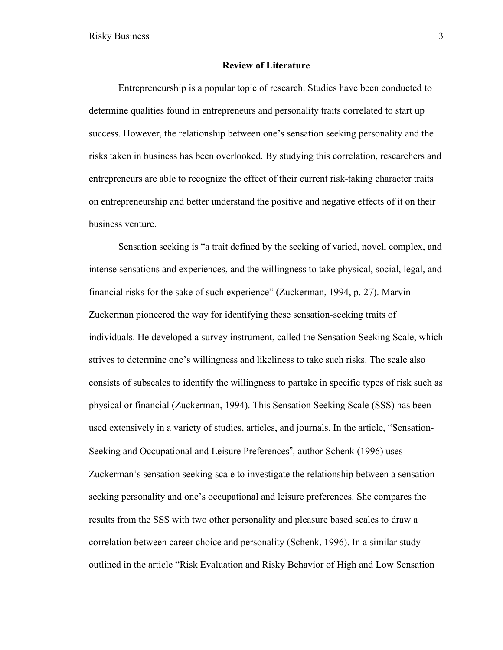#### **Review of Literature**

Entrepreneurship is a popular topic of research. Studies have been conducted to determine qualities found in entrepreneurs and personality traits correlated to start up success. However, the relationship between one's sensation seeking personality and the risks taken in business has been overlooked. By studying this correlation, researchers and entrepreneurs are able to recognize the effect of their current risk-taking character traits on entrepreneurship and better understand the positive and negative effects of it on their business venture.

Sensation seeking is "a trait defined by the seeking of varied, novel, complex, and intense sensations and experiences, and the willingness to take physical, social, legal, and financial risks for the sake of such experience" (Zuckerman, 1994, p. 27). Marvin Zuckerman pioneered the way for identifying these sensation-seeking traits of individuals. He developed a survey instrument, called the Sensation Seeking Scale, which strives to determine one's willingness and likeliness to take such risks. The scale also consists of subscales to identify the willingness to partake in specific types of risk such as physical or financial (Zuckerman, 1994). This Sensation Seeking Scale (SSS) has been used extensively in a variety of studies, articles, and journals. In the article, "Sensation-Seeking and Occupational and Leisure Preferences", author Schenk (1996) uses Zuckerman's sensation seeking scale to investigate the relationship between a sensation seeking personality and one's occupational and leisure preferences. She compares the results from the SSS with two other personality and pleasure based scales to draw a correlation between career choice and personality (Schenk, 1996). In a similar study outlined in the article "Risk Evaluation and Risky Behavior of High and Low Sensation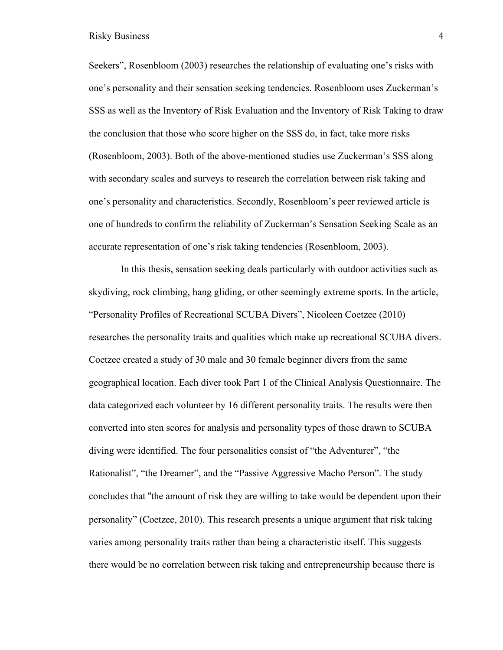Seekers", Rosenbloom (2003) researches the relationship of evaluating one's risks with one's personality and their sensation seeking tendencies. Rosenbloom uses Zuckerman's SSS as well as the Inventory of Risk Evaluation and the Inventory of Risk Taking to draw the conclusion that those who score higher on the SSS do, in fact, take more risks (Rosenbloom, 2003). Both of the above-mentioned studies use Zuckerman's SSS along with secondary scales and surveys to research the correlation between risk taking and one's personality and characteristics. Secondly, Rosenbloom's peer reviewed article is one of hundreds to confirm the reliability of Zuckerman's Sensation Seeking Scale as an accurate representation of one's risk taking tendencies (Rosenbloom, 2003).

In this thesis, sensation seeking deals particularly with outdoor activities such as skydiving, rock climbing, hang gliding, or other seemingly extreme sports. In the article, "Personality Profiles of Recreational SCUBA Divers", Nicoleen Coetzee (2010) researches the personality traits and qualities which make up recreational SCUBA divers. Coetzee created a study of 30 male and 30 female beginner divers from the same geographical location. Each diver took Part 1 of the Clinical Analysis Questionnaire. The data categorized each volunteer by 16 different personality traits. The results were then converted into sten scores for analysis and personality types of those drawn to SCUBA diving were identified. The four personalities consist of "the Adventurer", "the Rationalist", "the Dreamer", and the "Passive Aggressive Macho Person". The study concludes that "the amount of risk they are willing to take would be dependent upon their personality" (Coetzee, 2010). This research presents a unique argument that risk taking varies among personality traits rather than being a characteristic itself. This suggests there would be no correlation between risk taking and entrepreneurship because there is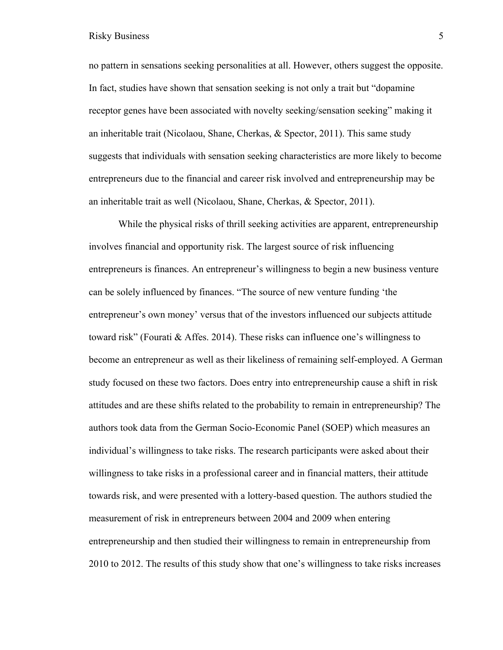no pattern in sensations seeking personalities at all. However, others suggest the opposite. In fact, studies have shown that sensation seeking is not only a trait but "dopamine receptor genes have been associated with novelty seeking/sensation seeking" making it an inheritable trait (Nicolaou, Shane, Cherkas, & Spector, 2011). This same study suggests that individuals with sensation seeking characteristics are more likely to become entrepreneurs due to the financial and career risk involved and entrepreneurship may be an inheritable trait as well (Nicolaou, Shane, Cherkas, & Spector, 2011).

While the physical risks of thrill seeking activities are apparent, entrepreneurship involves financial and opportunity risk. The largest source of risk influencing entrepreneurs is finances. An entrepreneur's willingness to begin a new business venture can be solely influenced by finances. "The source of new venture funding 'the entrepreneur's own money' versus that of the investors influenced our subjects attitude toward risk" (Fourati & Affes. 2014). These risks can influence one's willingness to become an entrepreneur as well as their likeliness of remaining self-employed. A German study focused on these two factors. Does entry into entrepreneurship cause a shift in risk attitudes and are these shifts related to the probability to remain in entrepreneurship? The authors took data from the German Socio-Economic Panel (SOEP) which measures an individual's willingness to take risks. The research participants were asked about their willingness to take risks in a professional career and in financial matters, their attitude towards risk, and were presented with a lottery-based question. The authors studied the measurement of risk in entrepreneurs between 2004 and 2009 when entering entrepreneurship and then studied their willingness to remain in entrepreneurship from 2010 to 2012. The results of this study show that one's willingness to take risks increases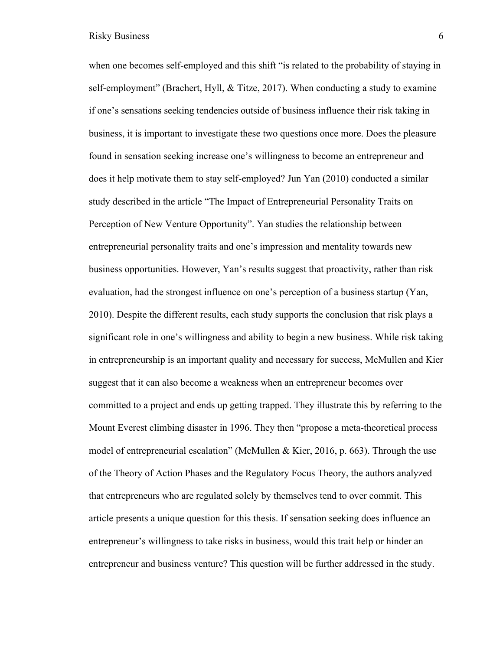when one becomes self-employed and this shift "is related to the probability of staying in self-employment" (Brachert, Hyll, & Titze, 2017). When conducting a study to examine if one's sensations seeking tendencies outside of business influence their risk taking in business, it is important to investigate these two questions once more. Does the pleasure found in sensation seeking increase one's willingness to become an entrepreneur and does it help motivate them to stay self-employed? Jun Yan (2010) conducted a similar study described in the article "The Impact of Entrepreneurial Personality Traits on Perception of New Venture Opportunity". Yan studies the relationship between entrepreneurial personality traits and one's impression and mentality towards new business opportunities. However, Yan's results suggest that proactivity, rather than risk evaluation, had the strongest influence on one's perception of a business startup (Yan, 2010). Despite the different results, each study supports the conclusion that risk plays a significant role in one's willingness and ability to begin a new business. While risk taking in entrepreneurship is an important quality and necessary for success, McMullen and Kier suggest that it can also become a weakness when an entrepreneur becomes over committed to a project and ends up getting trapped. They illustrate this by referring to the Mount Everest climbing disaster in 1996. They then "propose a meta-theoretical process model of entrepreneurial escalation" (McMullen & Kier, 2016, p. 663). Through the use of the Theory of Action Phases and the Regulatory Focus Theory, the authors analyzed that entrepreneurs who are regulated solely by themselves tend to over commit. This article presents a unique question for this thesis. If sensation seeking does influence an entrepreneur's willingness to take risks in business, would this trait help or hinder an entrepreneur and business venture? This question will be further addressed in the study.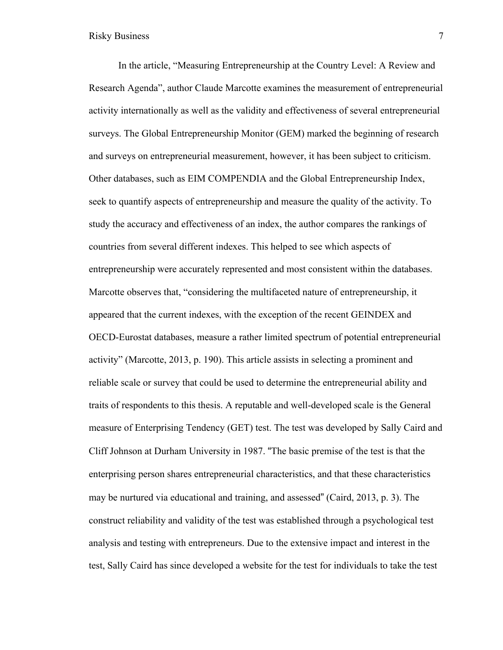In the article, "Measuring Entrepreneurship at the Country Level: A Review and Research Agenda", author Claude Marcotte examines the measurement of entrepreneurial activity internationally as well as the validity and effectiveness of several entrepreneurial surveys. The Global Entrepreneurship Monitor (GEM) marked the beginning of research and surveys on entrepreneurial measurement, however, it has been subject to criticism. Other databases, such as EIM COMPENDIA and the Global Entrepreneurship Index, seek to quantify aspects of entrepreneurship and measure the quality of the activity. To study the accuracy and effectiveness of an index, the author compares the rankings of countries from several different indexes. This helped to see which aspects of entrepreneurship were accurately represented and most consistent within the databases. Marcotte observes that, "considering the multifaceted nature of entrepreneurship, it appeared that the current indexes, with the exception of the recent GEINDEX and OECD-Eurostat databases, measure a rather limited spectrum of potential entrepreneurial activity" (Marcotte, 2013, p. 190). This article assists in selecting a prominent and reliable scale or survey that could be used to determine the entrepreneurial ability and traits of respondents to this thesis. A reputable and well-developed scale is the General measure of Enterprising Tendency (GET) test. The test was developed by Sally Caird and Cliff Johnson at Durham University in 1987. "The basic premise of the test is that the enterprising person shares entrepreneurial characteristics, and that these characteristics may be nurtured via educational and training, and assessed" (Caird, 2013, p. 3). The construct reliability and validity of the test was established through a psychological test analysis and testing with entrepreneurs. Due to the extensive impact and interest in the test, Sally Caird has since developed a website for the test for individuals to take the test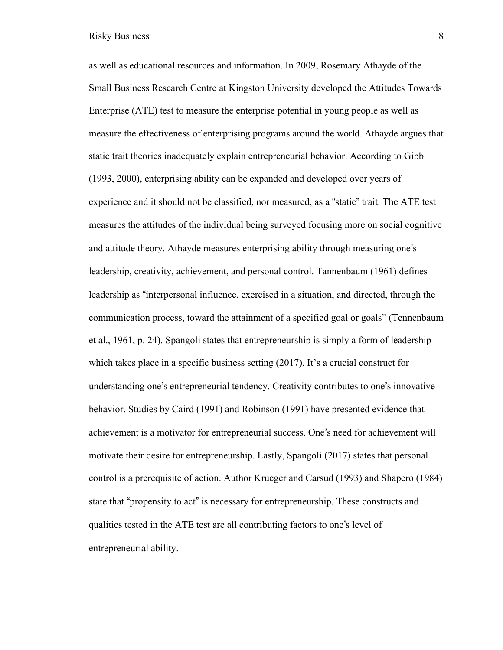as well as educational resources and information. In 2009, Rosemary Athayde of the Small Business Research Centre at Kingston University developed the Attitudes Towards Enterprise (ATE) test to measure the enterprise potential in young people as well as measure the effectiveness of enterprising programs around the world. Athayde argues that static trait theories inadequately explain entrepreneurial behavior. According to Gibb (1993, 2000), enterprising ability can be expanded and developed over years of experience and it should not be classified, nor measured, as a "static" trait. The ATE test measures the attitudes of the individual being surveyed focusing more on social cognitive and attitude theory. Athayde measures enterprising ability through measuring one's leadership, creativity, achievement, and personal control. Tannenbaum (1961) defines leadership as "interpersonal influence, exercised in a situation, and directed, through the communication process, toward the attainment of a specified goal or goals" (Tennenbaum et al., 1961, p. 24). Spangoli states that entrepreneurship is simply a form of leadership which takes place in a specific business setting (2017). It's a crucial construct for understanding one's entrepreneurial tendency. Creativity contributes to one's innovative behavior. Studies by Caird (1991) and Robinson (1991) have presented evidence that achievement is a motivator for entrepreneurial success. One's need for achievement will motivate their desire for entrepreneurship. Lastly, Spangoli (2017) states that personal control is a prerequisite of action. Author Krueger and Carsud (1993) and Shapero (1984) state that "propensity to act" is necessary for entrepreneurship. These constructs and qualities tested in the ATE test are all contributing factors to one's level of entrepreneurial ability.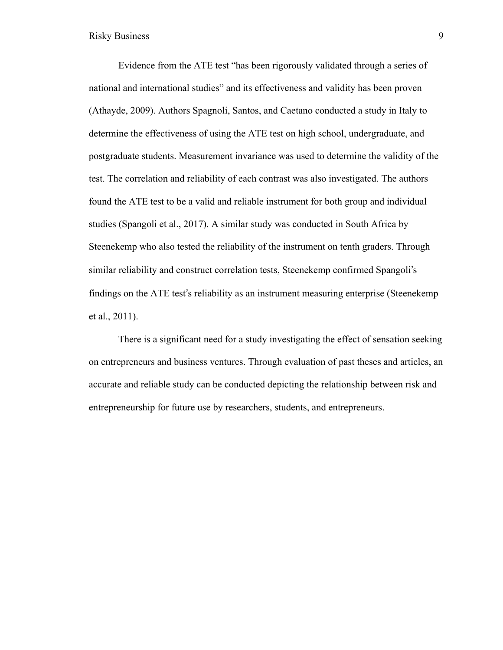Evidence from the ATE test "has been rigorously validated through a series of national and international studies" and its effectiveness and validity has been proven (Athayde, 2009). Authors Spagnoli, Santos, and Caetano conducted a study in Italy to determine the effectiveness of using the ATE test on high school, undergraduate, and postgraduate students. Measurement invariance was used to determine the validity of the test. The correlation and reliability of each contrast was also investigated. The authors found the ATE test to be a valid and reliable instrument for both group and individual studies (Spangoli et al., 2017). A similar study was conducted in South Africa by Steenekemp who also tested the reliability of the instrument on tenth graders. Through similar reliability and construct correlation tests, Steenekemp confirmed Spangoli's findings on the ATE test's reliability as an instrument measuring enterprise (Steenekemp et al., 2011).

There is a significant need for a study investigating the effect of sensation seeking on entrepreneurs and business ventures. Through evaluation of past theses and articles, an accurate and reliable study can be conducted depicting the relationship between risk and entrepreneurship for future use by researchers, students, and entrepreneurs.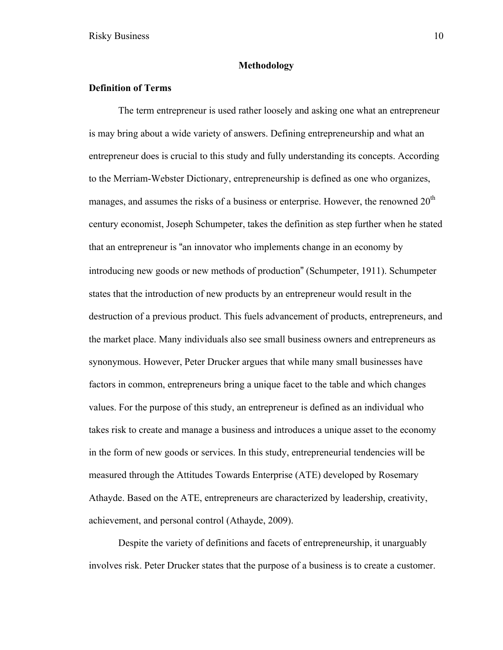#### **Methodology**

## **Definition of Terms**

The term entrepreneur is used rather loosely and asking one what an entrepreneur is may bring about a wide variety of answers. Defining entrepreneurship and what an entrepreneur does is crucial to this study and fully understanding its concepts. According to the Merriam-Webster Dictionary, entrepreneurship is defined as one who organizes, manages, and assumes the risks of a business or enterprise. However, the renowned  $20<sup>th</sup>$ century economist, Joseph Schumpeter, takes the definition as step further when he stated that an entrepreneur is "an innovator who implements change in an economy by introducing new goods or new methods of production" (Schumpeter, 1911). Schumpeter states that the introduction of new products by an entrepreneur would result in the destruction of a previous product. This fuels advancement of products, entrepreneurs, and the market place. Many individuals also see small business owners and entrepreneurs as synonymous. However, Peter Drucker argues that while many small businesses have factors in common, entrepreneurs bring a unique facet to the table and which changes values. For the purpose of this study, an entrepreneur is defined as an individual who takes risk to create and manage a business and introduces a unique asset to the economy in the form of new goods or services. In this study, entrepreneurial tendencies will be measured through the Attitudes Towards Enterprise (ATE) developed by Rosemary Athayde. Based on the ATE, entrepreneurs are characterized by leadership, creativity, achievement, and personal control (Athayde, 2009).

Despite the variety of definitions and facets of entrepreneurship, it unarguably involves risk. Peter Drucker states that the purpose of a business is to create a customer.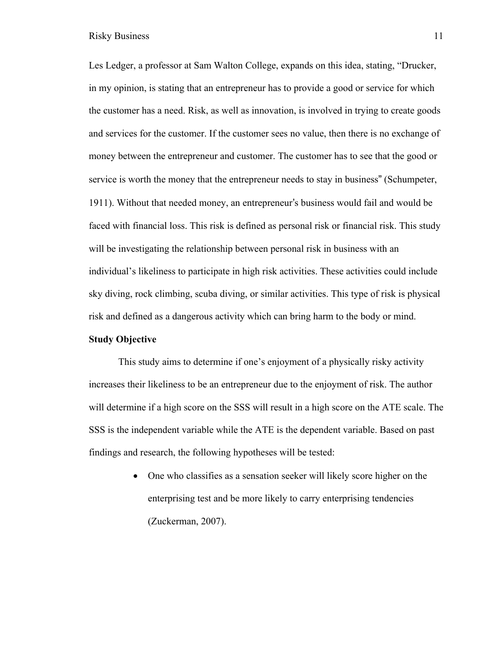Les Ledger, a professor at Sam Walton College, expands on this idea, stating, "Drucker, in my opinion, is stating that an entrepreneur has to provide a good or service for which the customer has a need. Risk, as well as innovation, is involved in trying to create goods and services for the customer. If the customer sees no value, then there is no exchange of money between the entrepreneur and customer. The customer has to see that the good or service is worth the money that the entrepreneur needs to stay in business" (Schumpeter, 1911). Without that needed money, an entrepreneur's business would fail and would be faced with financial loss. This risk is defined as personal risk or financial risk. This study will be investigating the relationship between personal risk in business with an individual's likeliness to participate in high risk activities. These activities could include sky diving, rock climbing, scuba diving, or similar activities. This type of risk is physical risk and defined as a dangerous activity which can bring harm to the body or mind.

#### **Study Objective**

This study aims to determine if one's enjoyment of a physically risky activity increases their likeliness to be an entrepreneur due to the enjoyment of risk. The author will determine if a high score on the SSS will result in a high score on the ATE scale. The SSS is the independent variable while the ATE is the dependent variable. Based on past findings and research, the following hypotheses will be tested:

> • One who classifies as a sensation seeker will likely score higher on the enterprising test and be more likely to carry enterprising tendencies (Zuckerman, 2007).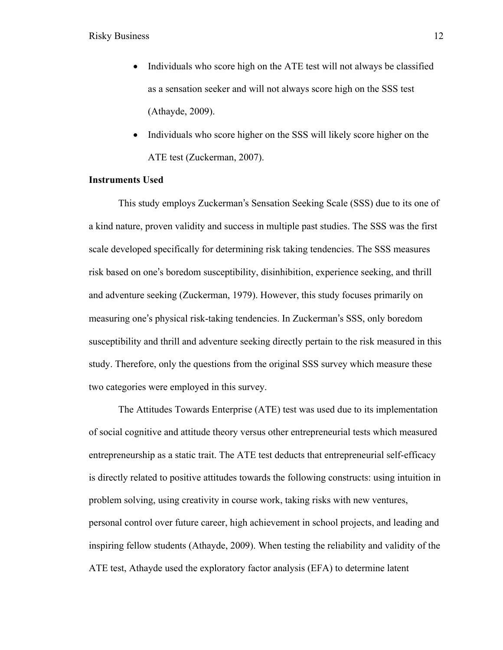- Individuals who score high on the ATE test will not always be classified as a sensation seeker and will not always score high on the SSS test (Athayde, 2009).
- Individuals who score higher on the SSS will likely score higher on the ATE test (Zuckerman, 2007).

#### **Instruments Used**

This study employs Zuckerman's Sensation Seeking Scale (SSS) due to its one of a kind nature, proven validity and success in multiple past studies. The SSS was the first scale developed specifically for determining risk taking tendencies. The SSS measures risk based on one's boredom susceptibility, disinhibition, experience seeking, and thrill and adventure seeking (Zuckerman, 1979). However, this study focuses primarily on measuring one's physical risk-taking tendencies. In Zuckerman's SSS, only boredom susceptibility and thrill and adventure seeking directly pertain to the risk measured in this study. Therefore, only the questions from the original SSS survey which measure these two categories were employed in this survey.

The Attitudes Towards Enterprise (ATE) test was used due to its implementation of social cognitive and attitude theory versus other entrepreneurial tests which measured entrepreneurship as a static trait. The ATE test deducts that entrepreneurial self-efficacy is directly related to positive attitudes towards the following constructs: using intuition in problem solving, using creativity in course work, taking risks with new ventures, personal control over future career, high achievement in school projects, and leading and inspiring fellow students (Athayde, 2009). When testing the reliability and validity of the ATE test, Athayde used the exploratory factor analysis (EFA) to determine latent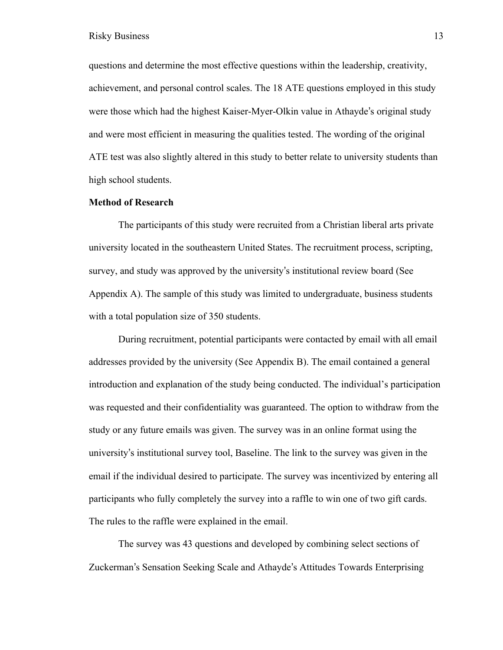questions and determine the most effective questions within the leadership, creativity, achievement, and personal control scales. The 18 ATE questions employed in this study were those which had the highest Kaiser-Myer-Olkin value in Athayde's original study and were most efficient in measuring the qualities tested. The wording of the original ATE test was also slightly altered in this study to better relate to university students than high school students.

#### **Method of Research**

The participants of this study were recruited from a Christian liberal arts private university located in the southeastern United States. The recruitment process, scripting, survey, and study was approved by the university's institutional review board (See Appendix A). The sample of this study was limited to undergraduate, business students with a total population size of 350 students.

During recruitment, potential participants were contacted by email with all email addresses provided by the university (See Appendix B). The email contained a general introduction and explanation of the study being conducted. The individual's participation was requested and their confidentiality was guaranteed. The option to withdraw from the study or any future emails was given. The survey was in an online format using the university's institutional survey tool, Baseline. The link to the survey was given in the email if the individual desired to participate. The survey was incentivized by entering all participants who fully completely the survey into a raffle to win one of two gift cards. The rules to the raffle were explained in the email.

The survey was 43 questions and developed by combining select sections of Zuckerman's Sensation Seeking Scale and Athayde's Attitudes Towards Enterprising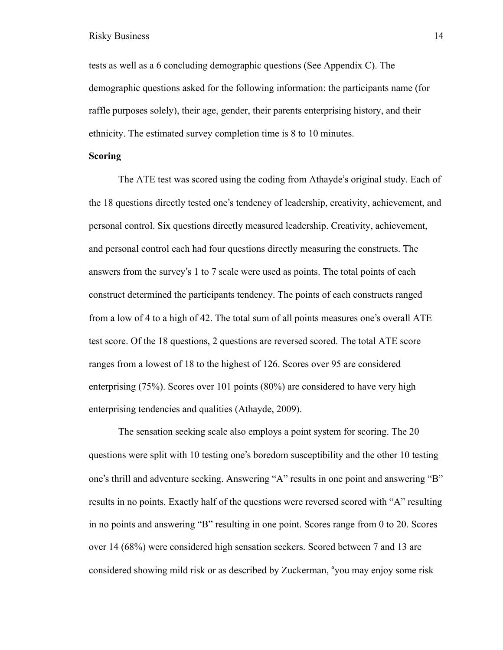tests as well as a 6 concluding demographic questions (See Appendix C). The demographic questions asked for the following information: the participants name (for raffle purposes solely), their age, gender, their parents enterprising history, and their ethnicity. The estimated survey completion time is 8 to 10 minutes.

#### **Scoring**

The ATE test was scored using the coding from Athayde's original study. Each of the 18 questions directly tested one's tendency of leadership, creativity, achievement, and personal control. Six questions directly measured leadership. Creativity, achievement, and personal control each had four questions directly measuring the constructs. The answers from the survey's 1 to 7 scale were used as points. The total points of each construct determined the participants tendency. The points of each constructs ranged from a low of 4 to a high of 42. The total sum of all points measures one's overall ATE test score. Of the 18 questions, 2 questions are reversed scored. The total ATE score ranges from a lowest of 18 to the highest of 126. Scores over 95 are considered enterprising (75%). Scores over 101 points (80%) are considered to have very high enterprising tendencies and qualities (Athayde, 2009).

The sensation seeking scale also employs a point system for scoring. The 20 questions were split with 10 testing one's boredom susceptibility and the other 10 testing one's thrill and adventure seeking. Answering "A" results in one point and answering "B" results in no points. Exactly half of the questions were reversed scored with "A" resulting in no points and answering "B" resulting in one point. Scores range from 0 to 20. Scores over 14 (68%) were considered high sensation seekers. Scored between 7 and 13 are considered showing mild risk or as described by Zuckerman, "you may enjoy some risk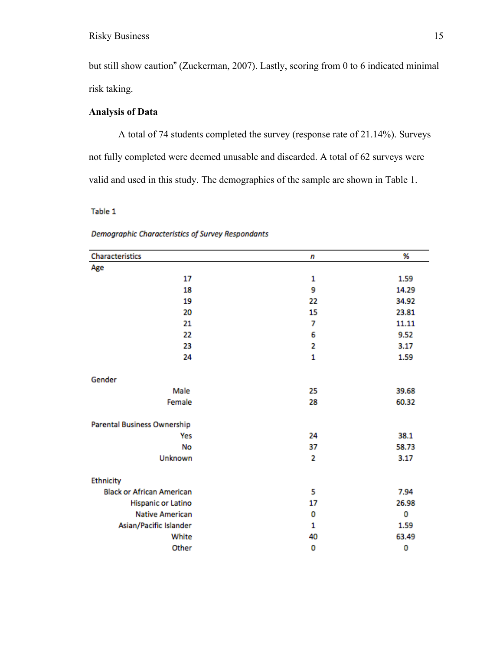but still show caution" (Zuckerman, 2007). Lastly, scoring from 0 to 6 indicated minimal risk taking.

# **Analysis of Data**

A total of 74 students completed the survey (response rate of 21.14%). Surveys not fully completed were deemed unusable and discarded. A total of 62 surveys were valid and used in this study. The demographics of the sample are shown in Table 1.

Table 1

| Characteristics                  | n            | %     |
|----------------------------------|--------------|-------|
| Age                              |              |       |
| 17                               | 1            | 1.59  |
| 18                               | 9            | 14.29 |
| 19                               | 22           | 34.92 |
| 20                               | 15           | 23.81 |
| 21                               | 7            | 11.11 |
| 22                               | 6            | 9.52  |
| 23                               | 2            | 3.17  |
| 24                               | $\mathbf{1}$ | 1.59  |
| Gender                           |              |       |
| Male                             | 25           | 39.68 |
| Female                           | 28           | 60.32 |
| Parental Business Ownership      |              |       |
| Yes                              | 24           | 38.1  |
| No                               | 37           | 58.73 |
| Unknown                          | 2            | 3.17  |
| Ethnicity                        |              |       |
| <b>Black or African American</b> | 5            | 7.94  |
| Hispanic or Latino               | 17           | 26.98 |
| <b>Native American</b>           | 0            | 0     |
| Asian/Pacific Islander           | 1            | 1.59  |
| White                            | 40           | 63.49 |
| Other                            | 0            | 0     |

| Demographic Characteristics of Survey Respondants |  |  |  |
|---------------------------------------------------|--|--|--|
|---------------------------------------------------|--|--|--|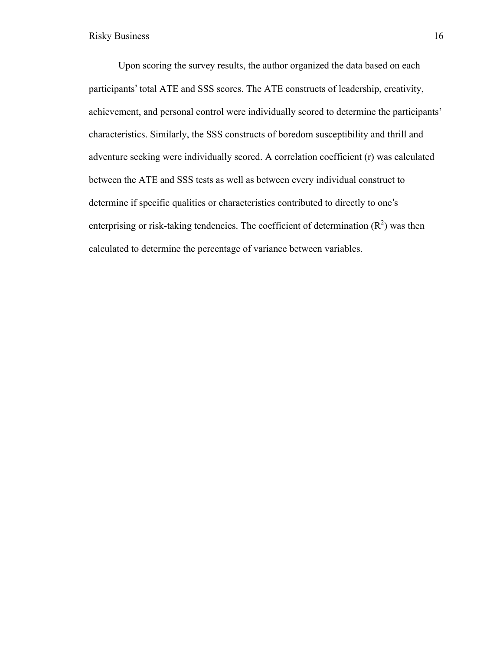Upon scoring the survey results, the author organized the data based on each participants' total ATE and SSS scores. The ATE constructs of leadership, creativity, achievement, and personal control were individually scored to determine the participants' characteristics. Similarly, the SSS constructs of boredom susceptibility and thrill and adventure seeking were individually scored. A correlation coefficient (r) was calculated between the ATE and SSS tests as well as between every individual construct to determine if specific qualities or characteristics contributed to directly to one's enterprising or risk-taking tendencies. The coefficient of determination  $(R^2)$  was then calculated to determine the percentage of variance between variables.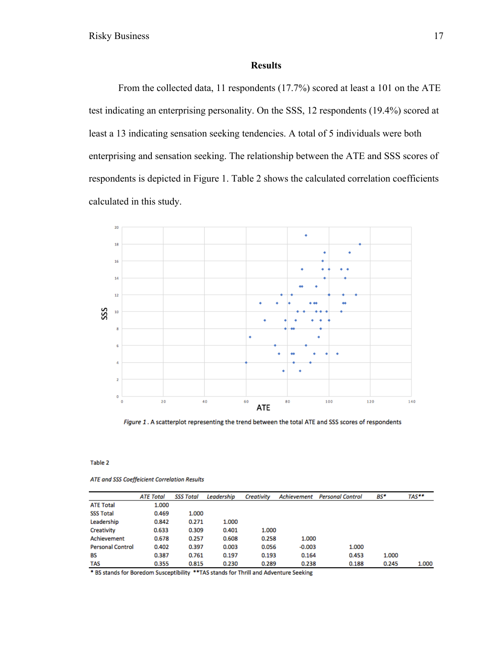### **Results**

From the collected data, 11 respondents (17.7%) scored at least a 101 on the ATE test indicating an enterprising personality. On the SSS, 12 respondents (19.4%) scored at least a 13 indicating sensation seeking tendencies. A total of 5 individuals were both enterprising and sensation seeking. The relationship between the ATE and SSS scores of respondents is depicted in Figure 1. Table 2 shows the calculated correlation coefficients calculated in this study.



Figure 1. A scatterplot representing the trend between the total ATE and SSS scores of respondents

Table 2

ATE and SSS Coeffeicient Correlation Results

|                         | <b>ATE Total</b> | <b>SSS Total</b> | Leadership | Creativity | Achievement | <b>Personal Control</b> | BS*   | TAS** |
|-------------------------|------------------|------------------|------------|------------|-------------|-------------------------|-------|-------|
| <b>ATE Total</b>        | 1.000            |                  |            |            |             |                         |       |       |
| <b>SSS Total</b>        | 0.469            | 1.000            |            |            |             |                         |       |       |
| Leadership              | 0.842            | 0.271            | 1.000      |            |             |                         |       |       |
| Creativity              | 0.633            | 0.309            | 0.401      | 1.000      |             |                         |       |       |
| Achievement             | 0.678            | 0.257            | 0.608      | 0.258      | 1.000       |                         |       |       |
| <b>Personal Control</b> | 0.402            | 0.397            | 0.003      | 0.056      | $-0.003$    | 1.000                   |       |       |
| BS                      | 0.387            | 0.761            | 0.197      | 0.193      | 0.164       | 0.453                   | 1.000 |       |
| TAS                     | 0.355            | 0.815            | 0.230      | 0.289      | 0.238       | 0.188                   | 0.245 | 1.000 |

\* BS stands for Boredom Susceptibility \*\* TAS stands for Thrill and Adventure Seeking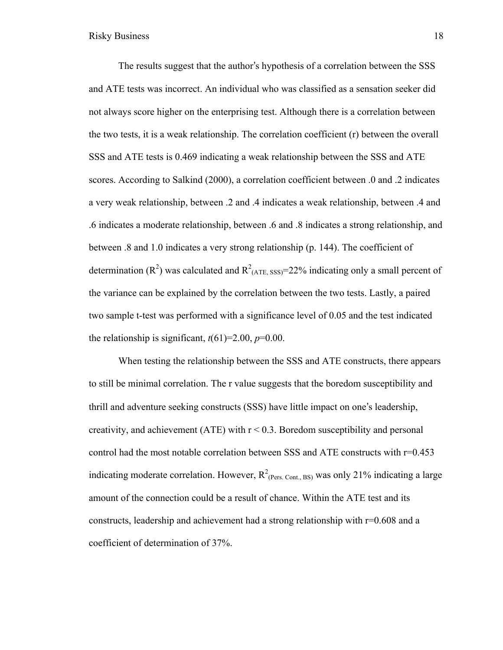The results suggest that the author's hypothesis of a correlation between the SSS and ATE tests was incorrect. An individual who was classified as a sensation seeker did not always score higher on the enterprising test. Although there is a correlation between the two tests, it is a weak relationship. The correlation coefficient (r) between the overall SSS and ATE tests is 0.469 indicating a weak relationship between the SSS and ATE scores. According to Salkind (2000), a correlation coefficient between .0 and .2 indicates a very weak relationship, between .2 and .4 indicates a weak relationship, between .4 and .6 indicates a moderate relationship, between .6 and .8 indicates a strong relationship, and between .8 and 1.0 indicates a very strong relationship (p. 144). The coefficient of determination ( $\mathbb{R}^2$ ) was calculated and  $\mathbb{R}^2$ <sub>(ATE, SSS)</sub>=22% indicating only a small percent of the variance can be explained by the correlation between the two tests. Lastly, a paired two sample t-test was performed with a significance level of 0.05 and the test indicated the relationship is significant,  $t(61)=2.00, p=0.00$ .

When testing the relationship between the SSS and ATE constructs, there appears to still be minimal correlation. The r value suggests that the boredom susceptibility and thrill and adventure seeking constructs (SSS) have little impact on one's leadership, creativity, and achievement (ATE) with  $r < 0.3$ . Boredom susceptibility and personal control had the most notable correlation between SSS and ATE constructs with r=0.453 indicating moderate correlation. However,  $R^2_{(Pers. \text{Cont., BS})}$  was only 21% indicating a large amount of the connection could be a result of chance. Within the ATE test and its constructs, leadership and achievement had a strong relationship with r=0.608 and a coefficient of determination of 37%.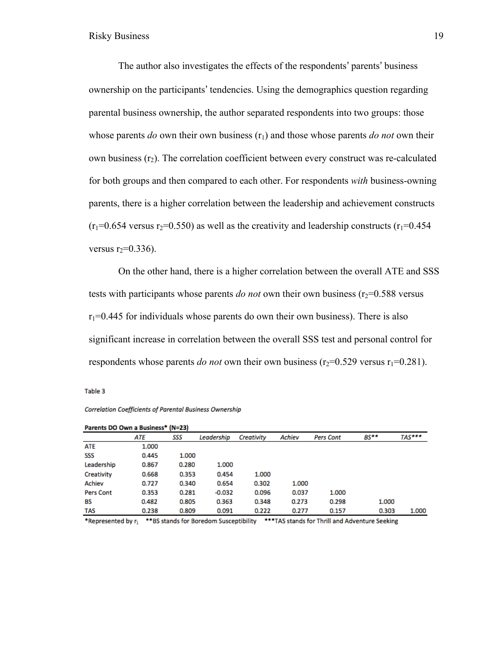The author also investigates the effects of the respondents' parents' business ownership on the participants' tendencies. Using the demographics question regarding parental business ownership, the author separated respondents into two groups: those whose parents  $do$  own their own business  $(r_1)$  and those whose parents  $do$  *not* own their own business  $(r_2)$ . The correlation coefficient between every construct was re-calculated for both groups and then compared to each other. For respondents *with* business-owning parents, there is a higher correlation between the leadership and achievement constructs  $(r_1=0.654$  versus r<sub>2</sub>=0.550) as well as the creativity and leadership constructs (r<sub>1</sub>=0.454) versus  $r_2=0.336$ ).

On the other hand, there is a higher correlation between the overall ATE and SSS tests with participants whose parents *do not* own their own business ( $r_2$ =0.588 versus  $r_1$ =0.445 for individuals whose parents do own their own business). There is also significant increase in correlation between the overall SSS test and personal control for respondents whose parents *do not* own their own business ( $r_2$ =0.529 versus  $r_1$ =0.281).

Table 3

| Parents DO Own a Business* (N=23) |       |       |            |            |        |                  |        |        |  |  |
|-----------------------------------|-------|-------|------------|------------|--------|------------------|--------|--------|--|--|
|                                   | ATE   | SSS   | Leadership | Creativity | Achiev | <b>Pers Cont</b> | $BS**$ | TAS*** |  |  |
| <b>ATE</b>                        | 1.000 |       |            |            |        |                  |        |        |  |  |
| SSS                               | 0.445 | 1.000 |            |            |        |                  |        |        |  |  |
| Leadership                        | 0.867 | 0.280 | 1.000      |            |        |                  |        |        |  |  |
| Creativity                        | 0.668 | 0.353 | 0.454      | 1.000      |        |                  |        |        |  |  |
| Achiev                            | 0.727 | 0.340 | 0.654      | 0.302      | 1.000  |                  |        |        |  |  |
| <b>Pers Cont</b>                  | 0.353 | 0.281 | $-0.032$   | 0.096      | 0.037  | 1.000            |        |        |  |  |
| BS                                | 0.482 | 0.805 | 0.363      | 0.348      | 0.273  | 0.298            | 1.000  |        |  |  |
| <b>TAS</b>                        | 0.238 | 0.809 | 0.091      | 0.222      | 0.277  | 0.157            | 0.303  | 1.000  |  |  |

#### Correlation Coefficients of Parental Business Ownership

\*Represented by r<sub>1</sub> \*\*BS stands for Boredom Susceptibility \*\*\*TAS stands for Thrill and Adventure Seeking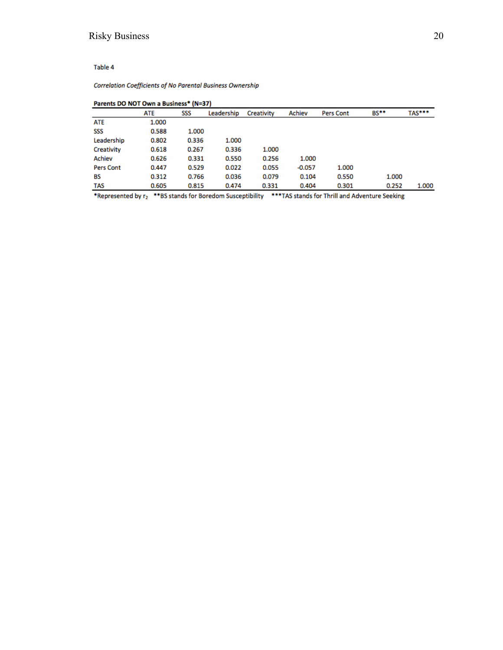#### Table 4

#### Correlation Coefficients of No Parental Business Ownership

| Parents DO NOT Own a Business* (N=37) |       |       |            |            |          |                  |        |        |  |  |
|---------------------------------------|-------|-------|------------|------------|----------|------------------|--------|--------|--|--|
|                                       | ATE   | SSS   | Leadership | Creativity | Achiev   | <b>Pers Cont</b> | $BS**$ | TAS*** |  |  |
| ATE                                   | 1.000 |       |            |            |          |                  |        |        |  |  |
| SSS                                   | 0.588 | 1.000 |            |            |          |                  |        |        |  |  |
| Leadership                            | 0.802 | 0.336 | 1.000      |            |          |                  |        |        |  |  |
| Creativity                            | 0.618 | 0.267 | 0.336      | 1.000      |          |                  |        |        |  |  |
| Achiev                                | 0.626 | 0.331 | 0.550      | 0.256      | 1.000    |                  |        |        |  |  |
| <b>Pers Cont</b>                      | 0.447 | 0.529 | 0.022      | 0.055      | $-0.057$ | 1.000            |        |        |  |  |
| BS                                    | 0.312 | 0.766 | 0.036      | 0.079      | 0.104    | 0.550            | 1.000  |        |  |  |
| <b>TAS</b>                            | 0.605 | 0.815 | 0.474      | 0.331      | 0.404    | 0.301            | 0.252  | 1.000  |  |  |

\*Represented by r<sub>2</sub> \*\*BS stands for Boredom Susceptibility \*\*\*TAS stands for Thrill and Adventure Seeking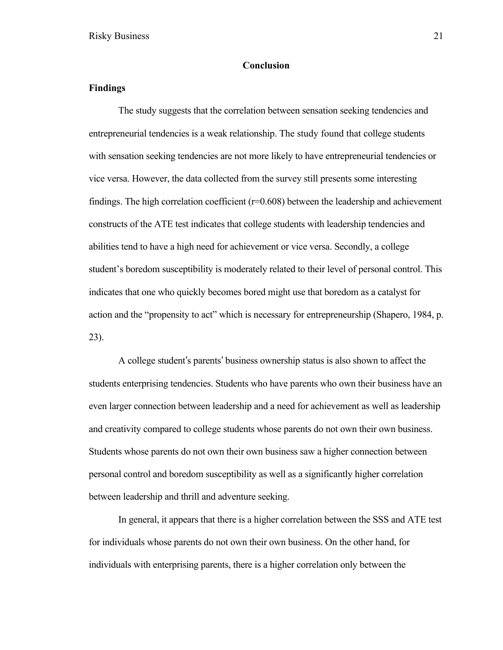#### **Conclusion**

### **Findings**

The study suggests that the correlation between sensation seeking tendencies and entrepreneurial tendencies is a weak relationship. The study found that college students with sensation seeking tendencies are not more likely to have entrepreneurial tendencies or vice versa. However, the data collected from the survey still presents some interesting findings. The high correlation coefficient  $(r=0.608)$  between the leadership and achievement constructs of the ATE test indicates that college students with leadership tendencies and abilities tend to have a high need for achievement or vice versa. Secondly, a college student's boredom susceptibility is moderately related to their level of personal control. This indicates that one who quickly becomes bored might use that boredom as a catalyst for action and the "propensity to act" which is necessary for entrepreneurship (Shapero, 1984, p. 23).

A college student's parents' business ownership status is also shown to affect the students enterprising tendencies. Students who have parents who own their business have an even larger connection between leadership and a need for achievement as well as leadership and creativity compared to college students whose parents do not own their own business. Students whose parents do not own their own business saw a higher connection between personal control and boredom susceptibility as well as a significantly higher correlation between leadership and thrill and adventure seeking.

In general, it appears that there is a higher correlation between the SSS and ATE test for individuals whose parents do not own their own business. On the other hand, for individuals with enterprising parents, there is a higher correlation only between the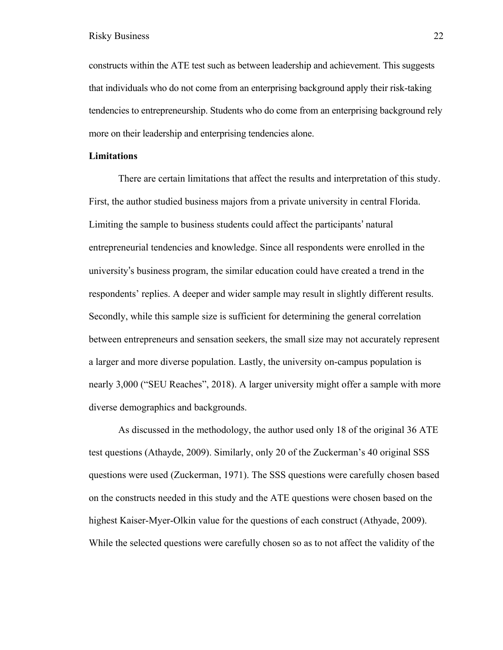constructs within the ATE test such as between leadership and achievement. This suggests that individuals who do not come from an enterprising background apply their risk-taking tendencies to entrepreneurship. Students who do come from an enterprising background rely more on their leadership and enterprising tendencies alone.

#### **Limitations**

There are certain limitations that affect the results and interpretation of this study. First, the author studied business majors from a private university in central Florida. Limiting the sample to business students could affect the participants' natural entrepreneurial tendencies and knowledge. Since all respondents were enrolled in the university's business program, the similar education could have created a trend in the respondents' replies. A deeper and wider sample may result in slightly different results. Secondly, while this sample size is sufficient for determining the general correlation between entrepreneurs and sensation seekers, the small size may not accurately represent a larger and more diverse population. Lastly, the university on-campus population is nearly 3,000 ("SEU Reaches", 2018). A larger university might offer a sample with more diverse demographics and backgrounds.

As discussed in the methodology, the author used only 18 of the original 36 ATE test questions (Athayde, 2009). Similarly, only 20 of the Zuckerman's 40 original SSS questions were used (Zuckerman, 1971). The SSS questions were carefully chosen based on the constructs needed in this study and the ATE questions were chosen based on the highest Kaiser-Myer-Olkin value for the questions of each construct (Athyade, 2009). While the selected questions were carefully chosen so as to not affect the validity of the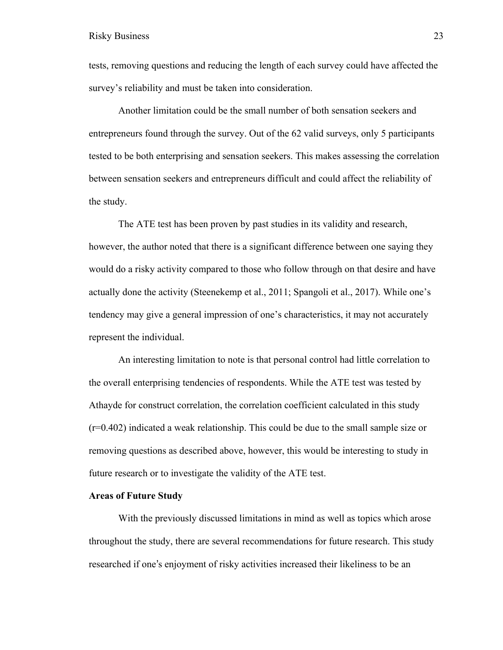tests, removing questions and reducing the length of each survey could have affected the survey's reliability and must be taken into consideration.

Another limitation could be the small number of both sensation seekers and entrepreneurs found through the survey. Out of the 62 valid surveys, only 5 participants tested to be both enterprising and sensation seekers. This makes assessing the correlation between sensation seekers and entrepreneurs difficult and could affect the reliability of the study.

The ATE test has been proven by past studies in its validity and research, however, the author noted that there is a significant difference between one saying they would do a risky activity compared to those who follow through on that desire and have actually done the activity (Steenekemp et al., 2011; Spangoli et al., 2017). While one's tendency may give a general impression of one's characteristics, it may not accurately represent the individual.

An interesting limitation to note is that personal control had little correlation to the overall enterprising tendencies of respondents. While the ATE test was tested by Athayde for construct correlation, the correlation coefficient calculated in this study (r=0.402) indicated a weak relationship. This could be due to the small sample size or removing questions as described above, however, this would be interesting to study in future research or to investigate the validity of the ATE test.

#### **Areas of Future Study**

With the previously discussed limitations in mind as well as topics which arose throughout the study, there are several recommendations for future research. This study researched if one's enjoyment of risky activities increased their likeliness to be an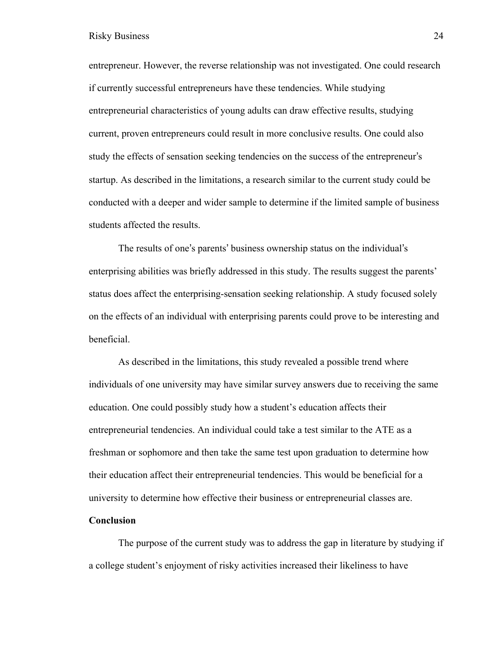entrepreneur. However, the reverse relationship was not investigated. One could research if currently successful entrepreneurs have these tendencies. While studying entrepreneurial characteristics of young adults can draw effective results, studying current, proven entrepreneurs could result in more conclusive results. One could also study the effects of sensation seeking tendencies on the success of the entrepreneur's startup. As described in the limitations, a research similar to the current study could be conducted with a deeper and wider sample to determine if the limited sample of business students affected the results.

The results of one's parents' business ownership status on the individual's enterprising abilities was briefly addressed in this study. The results suggest the parents' status does affect the enterprising-sensation seeking relationship. A study focused solely on the effects of an individual with enterprising parents could prove to be interesting and beneficial.

As described in the limitations, this study revealed a possible trend where individuals of one university may have similar survey answers due to receiving the same education. One could possibly study how a student's education affects their entrepreneurial tendencies. An individual could take a test similar to the ATE as a freshman or sophomore and then take the same test upon graduation to determine how their education affect their entrepreneurial tendencies. This would be beneficial for a university to determine how effective their business or entrepreneurial classes are.

#### **Conclusion**

The purpose of the current study was to address the gap in literature by studying if a college student's enjoyment of risky activities increased their likeliness to have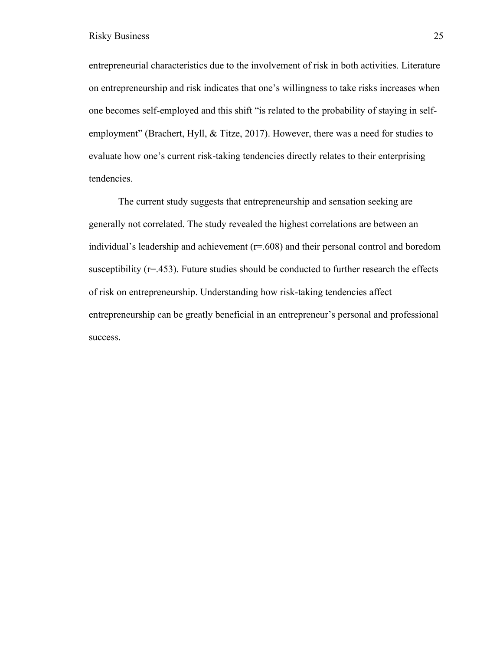entrepreneurial characteristics due to the involvement of risk in both activities. Literature on entrepreneurship and risk indicates that one's willingness to take risks increases when one becomes self-employed and this shift "is related to the probability of staying in selfemployment" (Brachert, Hyll, & Titze, 2017). However, there was a need for studies to evaluate how one's current risk-taking tendencies directly relates to their enterprising tendencies.

The current study suggests that entrepreneurship and sensation seeking are generally not correlated. The study revealed the highest correlations are between an individual's leadership and achievement (r=.608) and their personal control and boredom susceptibility (r=.453). Future studies should be conducted to further research the effects of risk on entrepreneurship. Understanding how risk-taking tendencies affect entrepreneurship can be greatly beneficial in an entrepreneur's personal and professional success.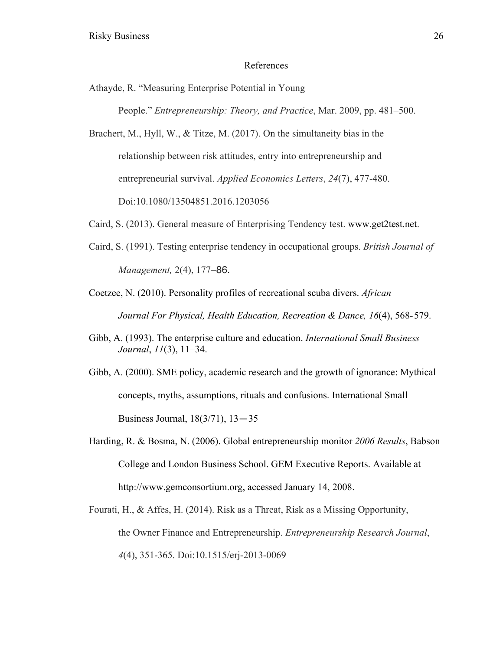#### References

Athayde, R. "Measuring Enterprise Potential in Young

People." *Entrepreneurship: Theory, and Practice*, Mar. 2009, pp. 481–500.

- Brachert, M., Hyll, W., & Titze, M. (2017). On the simultaneity bias in the relationship between risk attitudes, entry into entrepreneurship and entrepreneurial survival. *Applied Economics Letters*, *24*(7), 477-480. Doi:10.1080/13504851.2016.1203056
- Caird, S. (2013). General measure of Enterprising Tendency test. www.get2test.net.
- Caird, S. (1991). Testing enterprise tendency in occupational groups. *British Journal of Management,* 2(4), 177–86.
- Coetzee, N. (2010). Personality profiles of recreational scuba divers. *African Journal For Physical, Health Education, Recreation & Dance, 16*(4), 568-579.
- Gibb, A. (1993). The enterprise culture and education. *International Small Business Journal*, *11*(3), 11–34.
- Gibb, A. (2000). SME policy, academic research and the growth of ignorance: Mythical concepts, myths, assumptions, rituals and confusions. International Small Business Journal, 18(3/71), 13—35
- Harding, R. & Bosma, N. (2006). Global entrepreneurship monitor *2006 Results*, Babson College and London Business School. GEM Executive Reports. Available at http://www.gemconsortium.org, accessed January 14, 2008.
- Fourati, H., & Affes, H. (2014). Risk as a Threat, Risk as a Missing Opportunity, the Owner Finance and Entrepreneurship. *Entrepreneurship Research Journal*, *4*(4), 351-365. Doi:10.1515/erj-2013-0069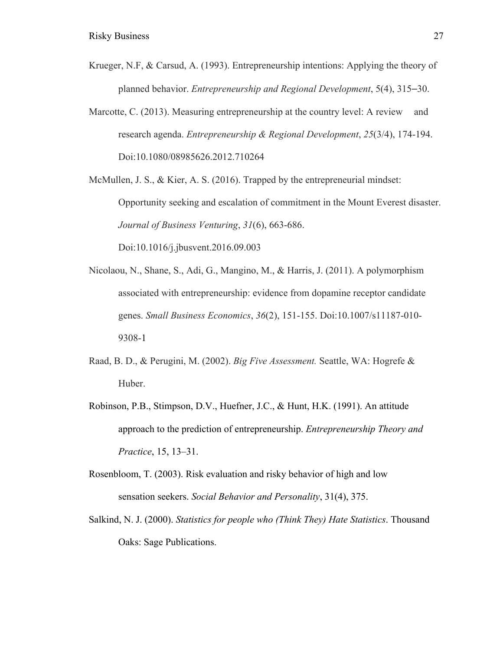- Krueger, N.F, & Carsud, A. (1993). Entrepreneurship intentions: Applying the theory of planned behavior. *Entrepreneurship and Regional Development*, 5(4), 315–30.
- Marcotte, C. (2013). Measuring entrepreneurship at the country level: A review and research agenda. *Entrepreneurship & Regional Development*, *25*(3/4), 174-194. Doi:10.1080/08985626.2012.710264

McMullen, J. S., & Kier, A. S. (2016). Trapped by the entrepreneurial mindset: Opportunity seeking and escalation of commitment in the Mount Everest disaster. *Journal of Business Venturing*, *31*(6), 663-686. Doi:10.1016/j.jbusvent.2016.09.003

- Nicolaou, N., Shane, S., Adi, G., Mangino, M., & Harris, J. (2011). A polymorphism associated with entrepreneurship: evidence from dopamine receptor candidate genes. *Small Business Economics*, *36*(2), 151-155. Doi:10.1007/s11187-010- 9308-1
- Raad, B. D., & Perugini, M. (2002). *Big Five Assessment.* Seattle, WA: Hogrefe & Huber.
- Robinson, P.B., Stimpson, D.V., Huefner, J.C., & Hunt, H.K. (1991). An attitude approach to the prediction of entrepreneurship. *Entrepreneurship Theory and Practice*, 15, 13–31.
- Rosenbloom, T. (2003). Risk evaluation and risky behavior of high and low sensation seekers. *Social Behavior and Personality*, 31(4), 375.
- Salkind, N. J. (2000). *Statistics for people who (Think They) Hate Statistics*. Thousand Oaks: Sage Publications.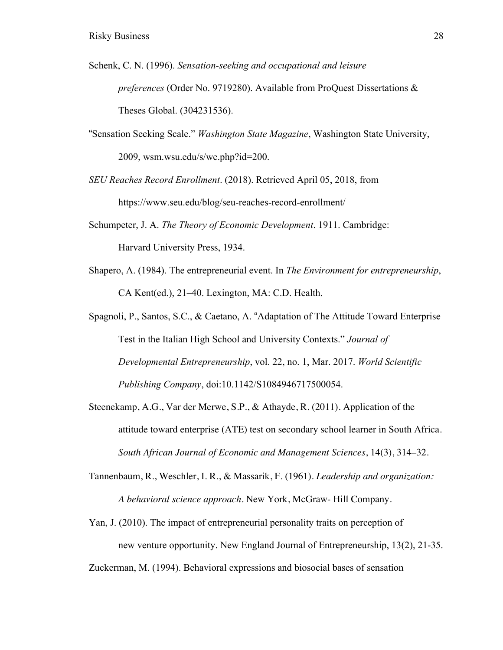- Schenk, C. N. (1996). *Sensation-seeking and occupational and leisure preferences* (Order No. 9719280). Available from ProQuest Dissertations & Theses Global. (304231536).
- "Sensation Seeking Scale." *Washington State Magazine*, Washington State University, 2009, wsm.wsu.edu/s/we.php?id=200.

*SEU Reaches Record Enrollment*. (2018). Retrieved April 05, 2018, from https://www.seu.edu/blog/seu-reaches-record-enrollment/

- Schumpeter, J. A. *The Theory of Economic Development*. 1911. Cambridge: Harvard University Press, 1934.
- Shapero, A. (1984). The entrepreneurial event. In *The Environment for entrepreneurship*, CA Kent(ed.), 21–40. Lexington, MA: C.D. Health.
- Spagnoli, P., Santos, S.C., & Caetano, A. "Adaptation of The Attitude Toward Enterprise Test in the Italian High School and University Contexts." *Journal of Developmental Entrepreneurship*, vol. 22, no. 1, Mar. 2017. *World Scientific Publishing Company*, doi:10.1142/S1084946717500054.
- Steenekamp, A.G., Var der Merwe, S.P., & Athayde, R. (2011). Application of the attitude toward enterprise (ATE) test on secondary school learner in South Africa. *South African Journal of Economic and Management Sciences*, 14(3), 314–32.
- Tannenbaum, R., Weschler, I. R., & Massarik, F. (1961). *Leadership and organization: A behavioral science approach.* New York, McGraw- Hill Company.
- Yan, J. (2010). The impact of entrepreneurial personality traits on perception of new venture opportunity. New England Journal of Entrepreneurship, 13(2), 21-35.

Zuckerman, M. (1994). Behavioral expressions and biosocial bases of sensation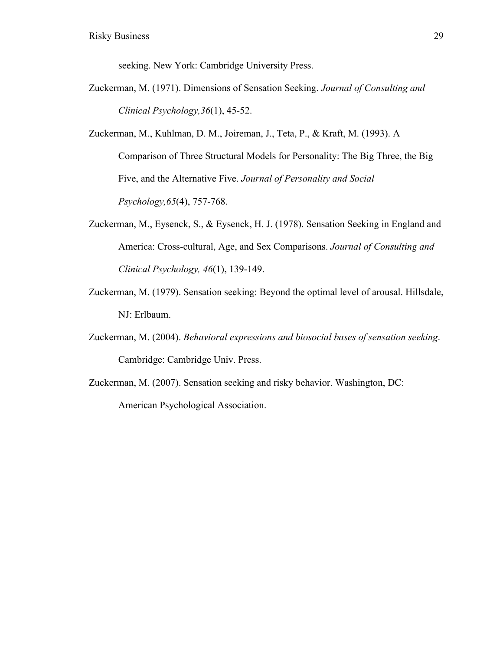seeking. New York: Cambridge University Press.

- Zuckerman, M. (1971). Dimensions of Sensation Seeking. *Journal of Consulting and Clinical Psychology,36*(1), 45-52.
- Zuckerman, M., Kuhlman, D. M., Joireman, J., Teta, P., & Kraft, M. (1993). A Comparison of Three Structural Models for Personality: The Big Three, the Big Five, and the Alternative Five. *Journal of Personality and Social Psychology,65*(4), 757-768.
- Zuckerman, M., Eysenck, S., & Eysenck, H. J. (1978). Sensation Seeking in England and America: Cross-cultural, Age, and Sex Comparisons. *Journal of Consulting and Clinical Psychology, 46*(1), 139-149.
- Zuckerman, M. (1979). Sensation seeking: Beyond the optimal level of arousal. Hillsdale, NJ: Erlbaum.
- Zuckerman, M. (2004). *Behavioral expressions and biosocial bases of sensation seeking*. Cambridge: Cambridge Univ. Press.
- Zuckerman, M. (2007). Sensation seeking and risky behavior. Washington, DC: American Psychological Association.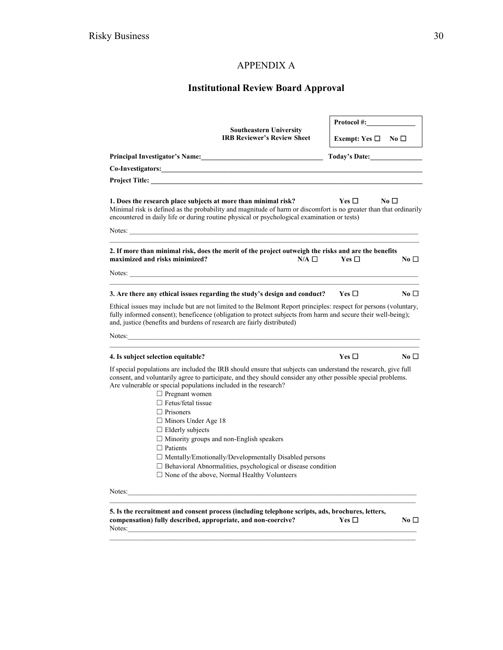# APPENDIX A

# **Institutional Review Board Approval**

| <b>Southeastern University</b>                                                                                                                                                                                                                                                                                                                                             |                                    |            | Protocol #:   |  |
|----------------------------------------------------------------------------------------------------------------------------------------------------------------------------------------------------------------------------------------------------------------------------------------------------------------------------------------------------------------------------|------------------------------------|------------|---------------|--|
| <b>IRB Reviewer's Review Sheet</b>                                                                                                                                                                                                                                                                                                                                         | Exempt: Yes $\square$ No $\square$ |            |               |  |
|                                                                                                                                                                                                                                                                                                                                                                            |                                    |            | Today's Date: |  |
| Co-Investigators: Note that the contract of the contract of the contract of the contract of the contract of the contract of the contract of the contract of the contract of the contract of the contract of the contract of th                                                                                                                                             |                                    |            |               |  |
| Project Title: the contract of the contract of the contract of the contract of the contract of the contract of the contract of the contract of the contract of the contract of the contract of the contract of the contract of                                                                                                                                             |                                    |            |               |  |
| 1. Does the research place subjects at more than minimal risk?<br>Minimal risk is defined as the probability and magnitude of harm or discomfort is no greater than that ordinarily<br>encountered in daily life or during routine physical or psychological examination or tests)                                                                                         |                                    | Yes $\Box$ | No $\square$  |  |
|                                                                                                                                                                                                                                                                                                                                                                            |                                    |            |               |  |
| 2. If more than minimal risk, does the merit of the project outweigh the risks and are the benefits<br>maximized and risks minimized?                                                                                                                                                                                                                                      | $N/A$ $\square$                    | Yes $\Box$ | No $\square$  |  |
| Notes: <u>the contract of the contract of the contract of the contract of the contract of the contract of the contract of the contract of the contract of the contract of the contract of the contract of the contract of the co</u>                                                                                                                                       |                                    |            |               |  |
| 3. Are there any ethical issues regarding the study's design and conduct? $Yes \Box$                                                                                                                                                                                                                                                                                       |                                    |            | No $\square$  |  |
| Ethical issues may include but are not limited to the Belmont Report principles: respect for persons (voluntary,<br>fully informed consent); beneficence (obligation to protect subjects from harm and secure their well-being);<br>and, justice (benefits and burdens of research are fairly distributed)                                                                 |                                    |            |               |  |
| Notes:                                                                                                                                                                                                                                                                                                                                                                     |                                    |            |               |  |
| 4. Is subject selection equitable?                                                                                                                                                                                                                                                                                                                                         |                                    | Yes $\Box$ | No $\square$  |  |
| If special populations are included the IRB should ensure that subjects can understand the research, give full<br>consent, and voluntarily agree to participate, and they should consider any other possible special problems.<br>Are vulnerable or special populations included in the research?<br>$\Box$ Pregnant women                                                 |                                    |            |               |  |
| $\Box$ Fetus/fetal tissue<br>$\Box$ Prisoners<br>$\Box$ Minors Under Age 18<br>$\Box$ Elderly subjects<br>$\Box$ Minority groups and non-English speakers<br>$\Box$ Patients<br>$\Box$ Mentally/Emotionally/Developmentally Disabled persons<br>$\Box$ Behavioral Abnormalities, psychological or disease condition<br>$\Box$ None of the above, Normal Healthy Volunteers |                                    |            |               |  |
| Notes:                                                                                                                                                                                                                                                                                                                                                                     |                                    |            |               |  |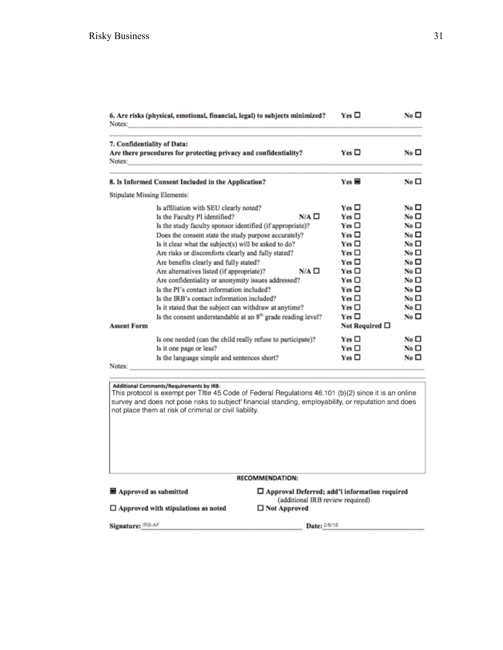| 6. Are risks (physical, emotional, financial, legal) to subjects minimized?<br>Notes:                                                                                                                                                                                                                                                                                                                                                                                                                                                                                                                                                                                                                                                                | $Yes \Box$                                                                                                                                                                                                | No <sub>D</sub>                                                                                                                                                                                                                   |
|------------------------------------------------------------------------------------------------------------------------------------------------------------------------------------------------------------------------------------------------------------------------------------------------------------------------------------------------------------------------------------------------------------------------------------------------------------------------------------------------------------------------------------------------------------------------------------------------------------------------------------------------------------------------------------------------------------------------------------------------------|-----------------------------------------------------------------------------------------------------------------------------------------------------------------------------------------------------------|-----------------------------------------------------------------------------------------------------------------------------------------------------------------------------------------------------------------------------------|
| 7. Confidentiality of Data:<br>Are there procedures for protecting privacy and confidentiality?<br>Notes:                                                                                                                                                                                                                                                                                                                                                                                                                                                                                                                                                                                                                                            | $Yes \Box$                                                                                                                                                                                                | No <sub>1</sub>                                                                                                                                                                                                                   |
| 8. Is Informed Consent Included in the Application?                                                                                                                                                                                                                                                                                                                                                                                                                                                                                                                                                                                                                                                                                                  | $Yes \blacksquare$                                                                                                                                                                                        | No <sub>D</sub>                                                                                                                                                                                                                   |
| <b>Stipulate Missing Elements:</b>                                                                                                                                                                                                                                                                                                                                                                                                                                                                                                                                                                                                                                                                                                                   |                                                                                                                                                                                                           |                                                                                                                                                                                                                                   |
| Is affiliation with SEU clearly noted?<br>$N/A$ $\square$<br>Is the Faculty PI identified?<br>Is the study faculty sponsor identified (if appropriate)?<br>Does the consent state the study purpose accurately?<br>Is it clear what the subject(s) will be asked to do?<br>Are risks or discomforts clearly and fully stated?<br>Are benefits clearly and fully stated?<br>$N/A$ $\square$<br>Are alternatives listed (if appropriate)?<br>Are confidentiality or anonymity issues addressed?<br>Is the PI's contact information included?<br>Is the IRB's contact information included?<br>Is it stated that the subject can withdraw at anytime?<br>Is the consent understandable at an 8 <sup>th</sup> grade reading level?<br><b>Assent Form</b> | $Yes \Box$<br>$Yes \Box$<br>$Yes \Box$<br>$Yes \Box$<br>$Yes \Box$<br>$Yes \Box$<br>$Yes \Box$<br>$Yes \Box$<br>$Yes \Box$<br>$Yes \Box$<br>$Yes \Box$<br>$Yes \Box$<br>$Yes \Box$<br>Not Required $\Box$ | No <sub>D</sub><br>No <sub>1</sub><br>No $\square$<br>No <sub>1</sub><br>No <sub>1</sub><br>No $\square$<br>No <sub>D</sub><br>No <sub>1</sub><br>No $\square$<br>No <sub>D</sub><br>No $\square$<br>No $\square$<br>No $\square$ |
| Is one needed (can the child really refuse to participate)?<br>Is it one page or less?<br>Is the language simple and sentences short?<br>Notes:                                                                                                                                                                                                                                                                                                                                                                                                                                                                                                                                                                                                      | $Yes \Box$<br>$Yes \Box$<br>$Yes \Box$                                                                                                                                                                    | No $\square$<br>No $\square$<br>No <sub>D</sub>                                                                                                                                                                                   |

Additional Comments/Requirements by IRB:<br>This protocol is exempt per TItle 45 Code of Federal Regulations 46.101 (b)(2) since it is an online survey and does not pose risks to subject' financial standing, employability, or reputation and does not place them at risk of criminal or civil liability.

#### **RECOMMENDATION:**

 $\blacksquare$  Approved as submitted

 $\Box$  <br> Approved with stipulations as noted

 $\square$  Approval Deferred; add'l information required (additional IRB review required) □ Not Approved

Signature: IRB-AF

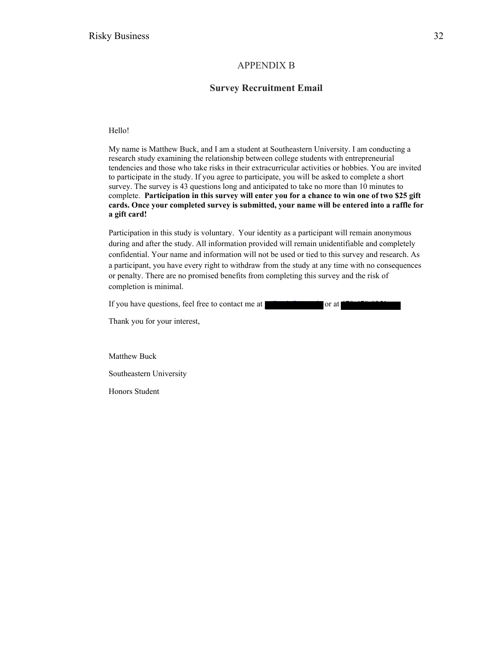#### APPENDIX B

#### **Survey Recruitment Email**

Hello!

My name is Matthew Buck, and I am a student at Southeastern University. I am conducting a research study examining the relationship between college students with entrepreneurial tendencies and those who take risks in their extracurricular activities or hobbies. You are invited to participate in the study. If you agree to participate, you will be asked to complete a short survey. The survey is 43 questions long and anticipated to take no more than 10 minutes to complete. **Participation in this survey will enter you for a chance to win one of two \$25 gift cards. Once your completed survey is submitted, your name will be entered into a raffle for a gift card!**

Participation in this study is voluntary. Your identity as a participant will remain anonymous during and after the study. All information provided will remain unidentifiable and completely confidential. Your name and information will not be used or tied to this survey and research. As a participant, you have every right to withdraw from the study at any time with no consequences or penalty. There are no promised benefits from completing this survey and the risk of completion is minimal.

If you have questions, feel free to contact me at  $\mathbb{R}^n$  from  $\mathbb{R}^n$  or at 678-678.

Thank you for your interest,

Matthew Buck

Southeastern University

Honors Student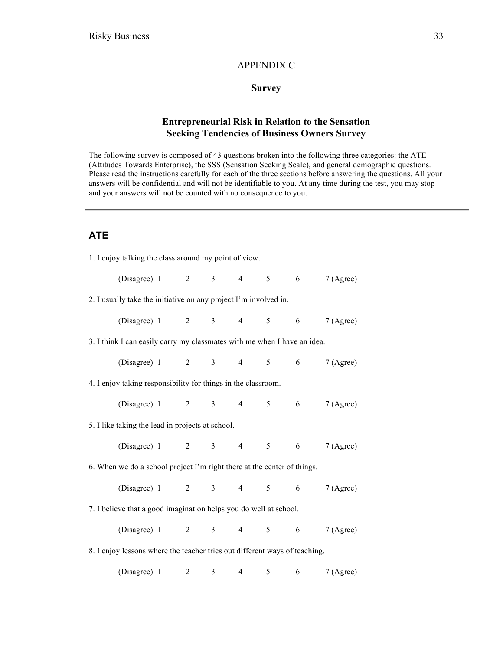#### APPENDIX C

#### **Survey**

## **Entrepreneurial Risk in Relation to the Sensation Seeking Tendencies of Business Owners Survey**

The following survey is composed of 43 questions broken into the following three categories: the ATE (Attitudes Towards Enterprise), the SSS (Sensation Seeking Scale), and general demographic questions. Please read the instructions carefully for each of the three sections before answering the questions. All your answers will be confidential and will not be identifiable to you. At any time during the test, you may stop and your answers will not be counted with no consequence to you.

## **ATE**

| 1. I enjoy talking the class around my point of view.                    |                                                                            |  |  |  |  |  |                     |                       |  |
|--------------------------------------------------------------------------|----------------------------------------------------------------------------|--|--|--|--|--|---------------------|-----------------------|--|
|                                                                          | (Disagree) 1 2 3 4 5 6                                                     |  |  |  |  |  |                     | 7 (Agree)             |  |
| 2. I usually take the initiative on any project I'm involved in.         |                                                                            |  |  |  |  |  |                     |                       |  |
|                                                                          | (Disagree) 1 2 3 4 5 6                                                     |  |  |  |  |  |                     | 7 (Agree)             |  |
| 3. I think I can easily carry my classmates with me when I have an idea. |                                                                            |  |  |  |  |  |                     |                       |  |
|                                                                          | (Disagree) 1 2 3 4 5 6                                                     |  |  |  |  |  |                     | 7 (Agree)             |  |
|                                                                          | 4. I enjoy taking responsibility for things in the classroom.              |  |  |  |  |  |                     |                       |  |
|                                                                          | (Disagree) 1 2 3 4 5 6                                                     |  |  |  |  |  |                     | 7(A <sub>g</sub> ree) |  |
|                                                                          | 5. I like taking the lead in projects at school.                           |  |  |  |  |  |                     |                       |  |
|                                                                          | (Disagree) 1 2 3 4 5 6 7 (Agree)                                           |  |  |  |  |  |                     |                       |  |
| 6. When we do a school project I'm right there at the center of things.  |                                                                            |  |  |  |  |  |                     |                       |  |
|                                                                          | (Disagree) 1 2 3 4 5 6 7 (Agree)                                           |  |  |  |  |  |                     |                       |  |
| 7. I believe that a good imagination helps you do well at school.        |                                                                            |  |  |  |  |  |                     |                       |  |
|                                                                          | (Disagree) 1 2 3 4 5 6                                                     |  |  |  |  |  |                     | 7 (Agree)             |  |
|                                                                          | 8. I enjoy lessons where the teacher tries out different ways of teaching. |  |  |  |  |  |                     |                       |  |
|                                                                          | (Disagree) $1 \t 2 \t 3$                                                   |  |  |  |  |  | $4 \quad 5 \quad 6$ | 7(A <sub>gre</sub> )  |  |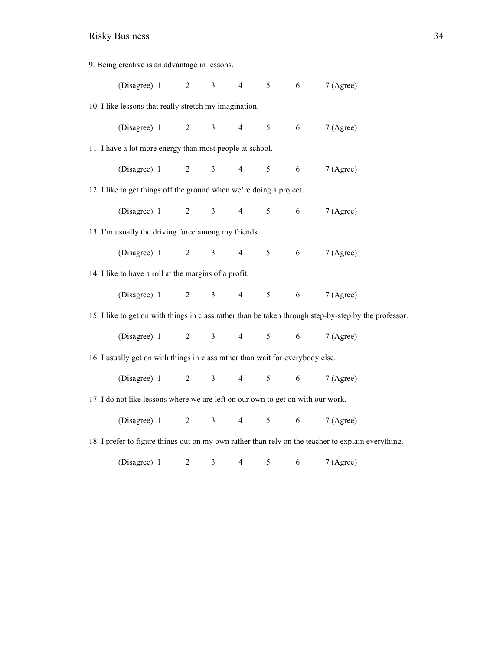| 9. Being creative is an advantage in lessons.                                   |                                                                                |  |                  |                |                |   |   |                                                                                                       |  |  |
|---------------------------------------------------------------------------------|--------------------------------------------------------------------------------|--|------------------|----------------|----------------|---|---|-------------------------------------------------------------------------------------------------------|--|--|
|                                                                                 | (Disagree) 1                                                                   |  | $\overline{2}$   | $\overline{3}$ | $\overline{4}$ | 5 | 6 | 7 (Agree)                                                                                             |  |  |
| 10. I like lessons that really stretch my imagination.                          |                                                                                |  |                  |                |                |   |   |                                                                                                       |  |  |
|                                                                                 | (Disagree) 1                                                                   |  | $\overline{2}$   | $\overline{3}$ | $\overline{4}$ | 5 | 6 | 7 (Agree)                                                                                             |  |  |
| 11. I have a lot more energy than most people at school.                        |                                                                                |  |                  |                |                |   |   |                                                                                                       |  |  |
|                                                                                 | (Disagree) 1                                                                   |  | $\overline{2}$   | $\overline{3}$ | $\overline{4}$ | 5 | 6 | 7 (Agree)                                                                                             |  |  |
| 12. I like to get things off the ground when we're doing a project.             |                                                                                |  |                  |                |                |   |   |                                                                                                       |  |  |
|                                                                                 | (Disagree) 1                                                                   |  | $\overline{2}$   | $\overline{3}$ | $\overline{4}$ | 5 | 6 | 7 (Agree)                                                                                             |  |  |
|                                                                                 | 13. I'm usually the driving force among my friends.                            |  |                  |                |                |   |   |                                                                                                       |  |  |
|                                                                                 | (Disagree) 1                                                                   |  | $\overline{2}$   | $\mathfrak{Z}$ | $\overline{4}$ | 5 | 6 | 7 (Agree)                                                                                             |  |  |
|                                                                                 | 14. I like to have a roll at the margins of a profit.                          |  |                  |                |                |   |   |                                                                                                       |  |  |
|                                                                                 | (Disagree) 1                                                                   |  | $\boldsymbol{2}$ | $\overline{3}$ | $\overline{4}$ | 5 | 6 | 7 (Agree)                                                                                             |  |  |
|                                                                                 |                                                                                |  |                  |                |                |   |   | 15. I like to get on with things in class rather than be taken through step-by-step by the professor. |  |  |
|                                                                                 | (Disagree) 1                                                                   |  | $\overline{2}$   | $\overline{3}$ | $\overline{4}$ | 5 | 6 | 7 (Agree)                                                                                             |  |  |
|                                                                                 | 16. I usually get on with things in class rather than wait for everybody else. |  |                  |                |                |   |   |                                                                                                       |  |  |
|                                                                                 | (Disagree) 1                                                                   |  | $\overline{2}$   | $\overline{3}$ | $\overline{4}$ | 5 | 6 | 7 (Agree)                                                                                             |  |  |
| 17. I do not like lessons where we are left on our own to get on with our work. |                                                                                |  |                  |                |                |   |   |                                                                                                       |  |  |
|                                                                                 | (Disagree) 1                                                                   |  | $\overline{2}$   | $\overline{3}$ | $\overline{4}$ | 5 | 6 | 7 (Agree)                                                                                             |  |  |
|                                                                                 |                                                                                |  |                  |                |                |   |   | 18. I prefer to figure things out on my own rather than rely on the teacher to explain everything.    |  |  |
|                                                                                 | (Disagree) 1                                                                   |  | $\boldsymbol{2}$ | 3              | $\overline{4}$ | 5 | 6 | 7 (Agree)                                                                                             |  |  |
|                                                                                 |                                                                                |  |                  |                |                |   |   |                                                                                                       |  |  |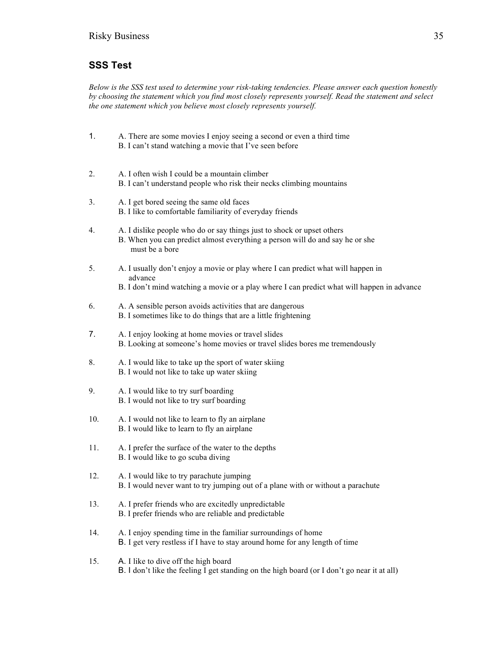# **SSS Test**

*Below is the SSS test used to determine your risk-taking tendencies. Please answer each question honestly by choosing the statement which you find most closely represents yourself. Read the statement and select the one statement which you believe most closely represents yourself.* 

- 1. A. There are some movies I enjoy seeing a second or even a third time B. I can't stand watching a movie that I've seen before
- 2. A. I often wish I could be a mountain climber B. I can't understand people who risk their necks climbing mountains
- 3. A. I get bored seeing the same old faces B. I like to comfortable familiarity of everyday friends
- 4. A. I dislike people who do or say things just to shock or upset others B. When you can predict almost everything a person will do and say he or she must be a bore
- 5. A. I usually don't enjoy a movie or play where I can predict what will happen in advance
	- B. I don't mind watching a movie or a play where I can predict what will happen in advance
- 6. A. A sensible person avoids activities that are dangerous B. I sometimes like to do things that are a little frightening
- 7. A. I enjoy looking at home movies or travel slides B. Looking at someone's home movies or travel slides bores me tremendously
- 8. A. I would like to take up the sport of water skiing B. I would not like to take up water skiing
- 9. A. I would like to try surf boarding B. I would not like to try surf boarding
- 10. A. I would not like to learn to fly an airplane B. I would like to learn to fly an airplane
- 11. A. I prefer the surface of the water to the depths B. I would like to go scuba diving
- 12. A. I would like to try parachute jumping B. I would never want to try jumping out of a plane with or without a parachute
- 13. A. I prefer friends who are excitedly unpredictable B. I prefer friends who are reliable and predictable
- 14. A. I enjoy spending time in the familiar surroundings of home B. I get very restless if I have to stay around home for any length of time
- 15. A. I like to dive off the high board B. I don't like the feeling I get standing on the high board (or I don't go near it at all)